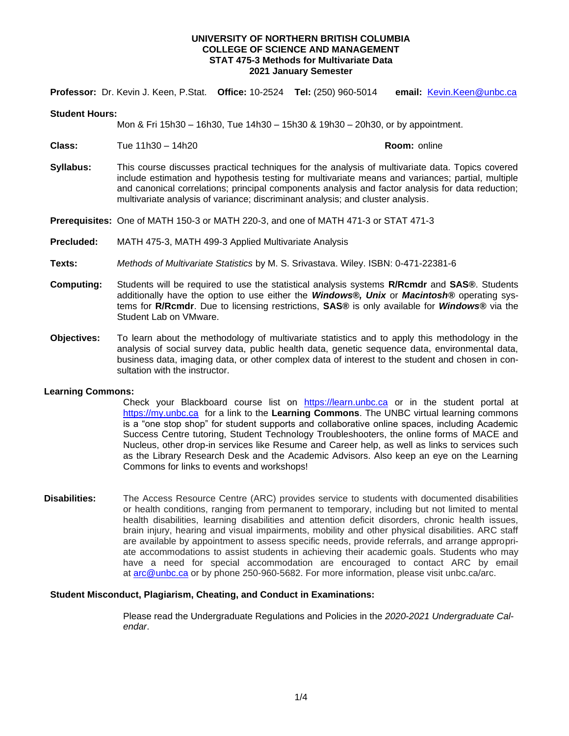**Professor:** Dr. Kevin J. Keen, P.Stat. **Office:** 10-2524 **Tel:** (250) 960-5014 **email:** [Kevin.Keen@unbc.ca](mailto:Kevin.Keen@unbc.ca)

#### **Student Hours:**

Mon & Fri 15h30 – 16h30, Tue 14h30 – 15h30 & 19h30 – 20h30, or by appointment.

**Class:** Tue 11h30 – 14h20 **Room:** online

- 
- **Syllabus:** This course discusses practical techniques for the analysis of multivariate data. Topics covered include estimation and hypothesis testing for multivariate means and variances; partial, multiple and canonical correlations; principal components analysis and factor analysis for data reduction; multivariate analysis of variance; discriminant analysis; and cluster analysis.

**Prerequisites:** One of MATH 150-3 or MATH 220-3, and one of MATH 471-3 or STAT 471-3

- **Precluded:** MATH 475-3, MATH 499-3 Applied Multivariate Analysis
- **Texts:** *Methods of Multivariate Statistics* by M. S. Srivastava. Wiley. ISBN: 0-471-22381-6
- **Computing:** Students will be required to use the statistical analysis systems **R/Rcmdr** and **SAS®**. Students additionally have the option to use either the *Windows®, Unix* or *Macintosh®* operating systems for **R/Rcmdr**. Due to licensing restrictions, **SAS®** is only available for *Windows®* via the Student Lab on VMware.
- **Objectives:** To learn about the methodology of multivariate statistics and to apply this methodology in the analysis of social survey data, public health data, genetic sequence data, environmental data, business data, imaging data, or other complex data of interest to the student and chosen in consultation with the instructor.

### **Learning Commons:**

Check your Blackboard course list on [https://learn.unbc.ca](https://learn.unbc.ca/) or in the student portal at [https://my.unbc.ca](https://my.unbc.ca/) for a link to the Learning Commons. The UNBC virtual learning commons is a "one stop shop" for student supports and collaborative online spaces, including Academic Success Centre tutoring, Student Technology Troubleshooters, the online forms of MACE and Nucleus, other drop-in services like Resume and Career help, as well as links to services such as the Library Research Desk and the Academic Advisors. Also keep an eye on the Learning Commons for links to events and workshops!

**Disabilities:** The Access Resource Centre (ARC) provides service to students with documented disabilities or health conditions, ranging from permanent to temporary, including but not limited to mental health disabilities, learning disabilities and attention deficit disorders, chronic health issues, brain injury, hearing and visual impairments, mobility and other physical disabilities. ARC staff are available by appointment to assess specific needs, provide referrals, and arrange appropriate accommodations to assist students in achieving their academic goals. Students who may have a need for special accommodation are encouraged to contact ARC by email at [arc@unbc.ca](mailto:arc@unbc.ca) or by phone 250-960-5682. For more information, please visit unbc.ca/arc.

#### **Student Misconduct, Plagiarism, Cheating, and Conduct in Examinations:**

Please read the Undergraduate Regulations and Policies in the *2020-2021 Undergraduate Calendar*.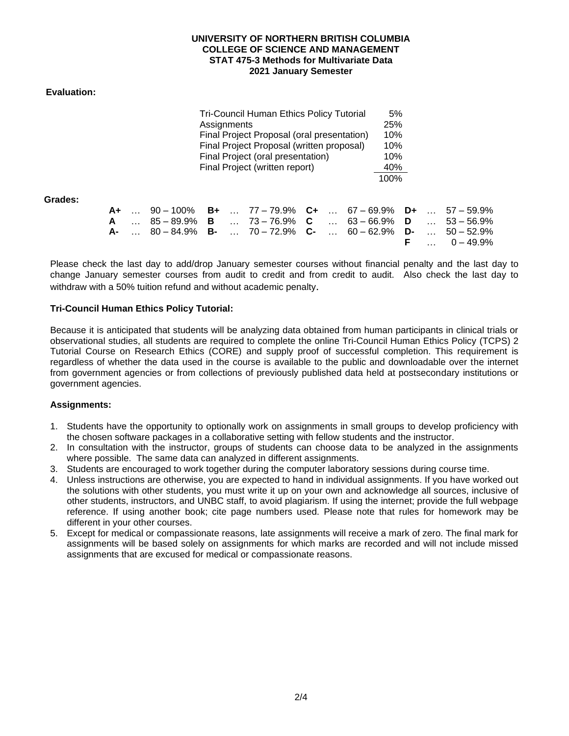# **Evaluation:**

| <b>Tri-Council Human Ethics Policy Tutorial</b> | 5%   |
|-------------------------------------------------|------|
| Assignments                                     | 25%  |
| Final Project Proposal (oral presentation)      | 10%  |
| Final Project Proposal (written proposal)       | 10%  |
| Final Project (oral presentation)               | 10%  |
| Final Project (written report)                  | 40%  |
|                                                 | 100% |

**Grades:** 

|  | <b>A+</b> 90 – 100% <b>B+</b> 77 – 79.9% <b>C+</b> 67 – 69.9% <b>D+</b> 57 – 59.9% |  |  |  |  |                     |
|--|------------------------------------------------------------------------------------|--|--|--|--|---------------------|
|  | <b>A</b> 85-89.9% <b>B</b> 73-76.9% <b>C</b> 63-66.9% <b>D</b> 53-56.9%            |  |  |  |  |                     |
|  | <b>A-</b> 80-84.9% <b>B-</b> 70-72.9% <b>C-</b> 60-62.9% <b>D-</b> 50-52.9%        |  |  |  |  |                     |
|  |                                                                                    |  |  |  |  | <b>F</b> $0-49.9\%$ |

Please check the last day to add/drop January semester courses without financial penalty and the last day to change January semester courses from audit to credit and from credit to audit. Also check the last day to withdraw with a 50% tuition refund and without academic penalty.

# **Tri-Council Human Ethics Policy Tutorial:**

Because it is anticipated that students will be analyzing data obtained from human participants in clinical trials or observational studies, all students are required to complete the online Tri-Council Human Ethics Policy (TCPS) 2 Tutorial Course on Research Ethics (CORE) and supply proof of successful completion. This requirement is regardless of whether the data used in the course is available to the public and downloadable over the internet from government agencies or from collections of previously published data held at postsecondary institutions or government agencies.

### **Assignments:**

- 1. Students have the opportunity to optionally work on assignments in small groups to develop proficiency with the chosen software packages in a collaborative setting with fellow students and the instructor.
- 2. In consultation with the instructor, groups of students can choose data to be analyzed in the assignments where possible. The same data can analyzed in different assignments.
- 3. Students are encouraged to work together during the computer laboratory sessions during course time.
- 4. Unless instructions are otherwise, you are expected to hand in individual assignments. If you have worked out the solutions with other students, you must write it up on your own and acknowledge all sources, inclusive of other students, instructors, and UNBC staff, to avoid plagiarism. If using the internet; provide the full webpage reference. If using another book; cite page numbers used. Please note that rules for homework may be different in your other courses.
- 5. Except for medical or compassionate reasons, late assignments will receive a mark of zero. The final mark for assignments will be based solely on assignments for which marks are recorded and will not include missed assignments that are excused for medical or compassionate reasons.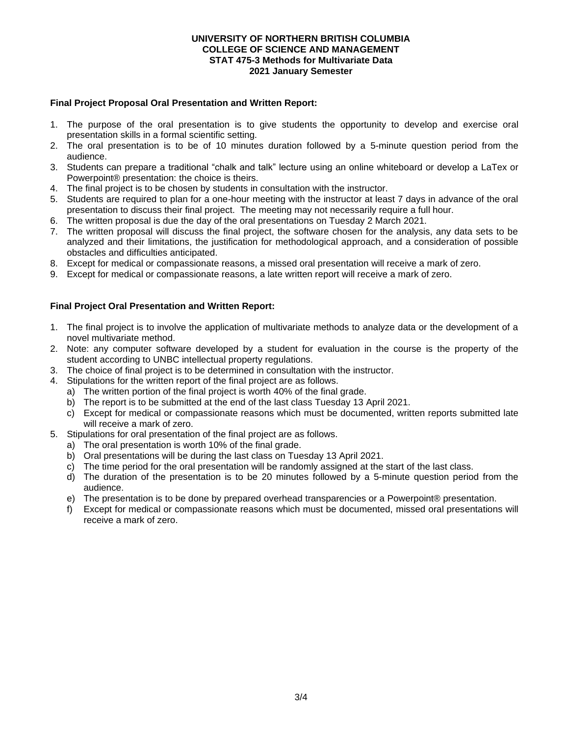# **Final Project Proposal Oral Presentation and Written Report:**

- 1. The purpose of the oral presentation is to give students the opportunity to develop and exercise oral presentation skills in a formal scientific setting.
- 2. The oral presentation is to be of 10 minutes duration followed by a 5-minute question period from the audience.
- 3. Students can prepare a traditional "chalk and talk" lecture using an online whiteboard or develop a LaTex or Powerpoint® presentation: the choice is theirs.
- 4. The final project is to be chosen by students in consultation with the instructor.
- 5. Students are required to plan for a one-hour meeting with the instructor at least 7 days in advance of the oral presentation to discuss their final project. The meeting may not necessarily require a full hour.
- 6. The written proposal is due the day of the oral presentations on Tuesday 2 March 2021.
- 7. The written proposal will discuss the final project, the software chosen for the analysis, any data sets to be analyzed and their limitations, the justification for methodological approach, and a consideration of possible obstacles and difficulties anticipated.
- 8. Except for medical or compassionate reasons, a missed oral presentation will receive a mark of zero.
- 9. Except for medical or compassionate reasons, a late written report will receive a mark of zero.

# **Final Project Oral Presentation and Written Report:**

- 1. The final project is to involve the application of multivariate methods to analyze data or the development of a novel multivariate method.
- 2. Note: any computer software developed by a student for evaluation in the course is the property of the student according to UNBC intellectual property regulations.
- 3. The choice of final project is to be determined in consultation with the instructor.
- 4. Stipulations for the written report of the final project are as follows.
	- a) The written portion of the final project is worth 40% of the final grade.
	- b) The report is to be submitted at the end of the last class Tuesday 13 April 2021.
	- c) Except for medical or compassionate reasons which must be documented, written reports submitted late will receive a mark of zero.
- 5. Stipulations for oral presentation of the final project are as follows.
	- a) The oral presentation is worth 10% of the final grade.
	- b) Oral presentations will be during the last class on Tuesday 13 April 2021.
	- c) The time period for the oral presentation will be randomly assigned at the start of the last class.
	- d) The duration of the presentation is to be 20 minutes followed by a 5-minute question period from the audience.
	- e) The presentation is to be done by prepared overhead transparencies or a Powerpoint® presentation.
	- f) Except for medical or compassionate reasons which must be documented, missed oral presentations will receive a mark of zero.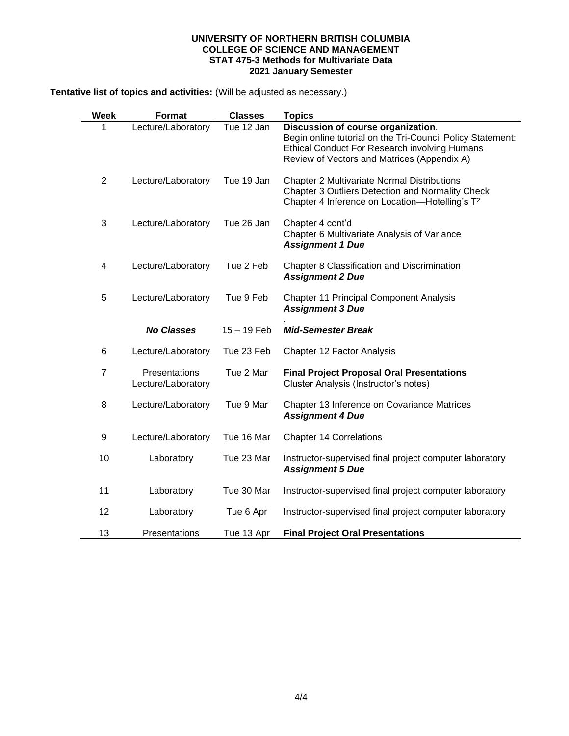**Tentative list of topics and activities:** (Will be adjusted as necessary.)

| Week           | <b>Format</b>                       | <b>Classes</b> | <b>Topics</b>                                                                                                                                                                                           |
|----------------|-------------------------------------|----------------|---------------------------------------------------------------------------------------------------------------------------------------------------------------------------------------------------------|
| 1              | Lecture/Laboratory                  | Tue 12 Jan     | Discussion of course organization.<br>Begin online tutorial on the Tri-Council Policy Statement:<br><b>Ethical Conduct For Research involving Humans</b><br>Review of Vectors and Matrices (Appendix A) |
| $\overline{2}$ | Lecture/Laboratory                  | Tue 19 Jan     | <b>Chapter 2 Multivariate Normal Distributions</b><br>Chapter 3 Outliers Detection and Normality Check<br>Chapter 4 Inference on Location-Hotelling's T <sup>2</sup>                                    |
| 3              | Lecture/Laboratory                  | Tue 26 Jan     | Chapter 4 cont'd<br>Chapter 6 Multivariate Analysis of Variance<br><b>Assignment 1 Due</b>                                                                                                              |
| 4              | Lecture/Laboratory                  | Tue 2 Feb      | Chapter 8 Classification and Discrimination<br><b>Assignment 2 Due</b>                                                                                                                                  |
| 5              | Lecture/Laboratory                  | Tue 9 Feb      | <b>Chapter 11 Principal Component Analysis</b><br><b>Assignment 3 Due</b>                                                                                                                               |
|                | <b>No Classes</b>                   | $15 - 19$ Feb  | <b>Mid-Semester Break</b>                                                                                                                                                                               |
| 6              | Lecture/Laboratory                  | Tue 23 Feb     | Chapter 12 Factor Analysis                                                                                                                                                                              |
| $\overline{7}$ | Presentations<br>Lecture/Laboratory | Tue 2 Mar      | <b>Final Project Proposal Oral Presentations</b><br>Cluster Analysis (Instructor's notes)                                                                                                               |
| 8              | Lecture/Laboratory                  | Tue 9 Mar      | Chapter 13 Inference on Covariance Matrices<br><b>Assignment 4 Due</b>                                                                                                                                  |
| 9              | Lecture/Laboratory                  | Tue 16 Mar     | <b>Chapter 14 Correlations</b>                                                                                                                                                                          |
| 10             | Laboratory                          | Tue 23 Mar     | Instructor-supervised final project computer laboratory<br><b>Assignment 5 Due</b>                                                                                                                      |
| 11             | Laboratory                          | Tue 30 Mar     | Instructor-supervised final project computer laboratory                                                                                                                                                 |
| 12             | Laboratory                          | Tue 6 Apr      | Instructor-supervised final project computer laboratory                                                                                                                                                 |
| 13             | Presentations                       | Tue 13 Apr     | <b>Final Project Oral Presentations</b>                                                                                                                                                                 |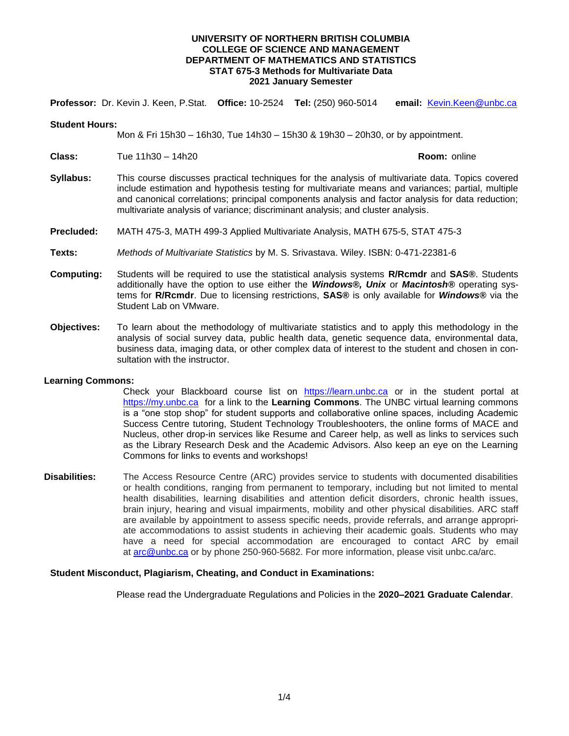**Professor:** Dr. Kevin J. Keen, P.Stat. **Office:** 10-2524 **Tel:** (250) 960-5014 **email:** [Kevin.Keen@unbc.ca](mailto:Kevin.Keen@unbc.ca)

#### **Student Hours:**

Mon & Fri 15h30 – 16h30, Tue 14h30 – 15h30 & 19h30 – 20h30, or by appointment.

**Class:** Tue 11h30 – 14h20 **Room:** online

- **Syllabus:** This course discusses practical techniques for the analysis of multivariate data. Topics covered include estimation and hypothesis testing for multivariate means and variances; partial, multiple and canonical correlations; principal components analysis and factor analysis for data reduction; multivariate analysis of variance; discriminant analysis; and cluster analysis.
- **Precluded:** MATH 475-3, MATH 499-3 Applied Multivariate Analysis, MATH 675-5, STAT 475-3
- **Texts:** *Methods of Multivariate Statistics* by M. S. Srivastava. Wiley. ISBN: 0-471-22381-6
- **Computing:** Students will be required to use the statistical analysis systems **R/Rcmdr** and **SAS®**. Students additionally have the option to use either the *Windows®, Unix* or *Macintosh®* operating systems for **R/Rcmdr**. Due to licensing restrictions, **SAS®** is only available for *Windows®* via the Student Lab on VMware.
- **Objectives:** To learn about the methodology of multivariate statistics and to apply this methodology in the analysis of social survey data, public health data, genetic sequence data, environmental data, business data, imaging data, or other complex data of interest to the student and chosen in consultation with the instructor.

### **Learning Commons:**

Check your Blackboard course list on [https://learn.unbc.ca](https://learn.unbc.ca/) or in the student portal at [https://my.unbc.ca](https://my.unbc.ca/) for a link to the **Learning Commons**. The UNBC virtual learning commons is a "one stop shop" for student supports and collaborative online spaces, including Academic Success Centre tutoring, Student Technology Troubleshooters, the online forms of MACE and Nucleus, other drop-in services like Resume and Career help, as well as links to services such as the Library Research Desk and the Academic Advisors. Also keep an eye on the Learning Commons for links to events and workshops!

**Disabilities:** The Access Resource Centre (ARC) provides service to students with documented disabilities or health conditions, ranging from permanent to temporary, including but not limited to mental health disabilities, learning disabilities and attention deficit disorders, chronic health issues, brain injury, hearing and visual impairments, mobility and other physical disabilities. ARC staff are available by appointment to assess specific needs, provide referrals, and arrange appropriate accommodations to assist students in achieving their academic goals. Students who may have a need for special accommodation are encouraged to contact ARC by email at [arc@unbc.ca](mailto:arc@unbc.ca) or by phone 250-960-5682. For more information, please visit unbc.ca/arc.

### **Student Misconduct, Plagiarism, Cheating, and Conduct in Examinations:**

Please read the Undergraduate Regulations and Policies in the **2020–2021 Graduate Calendar**.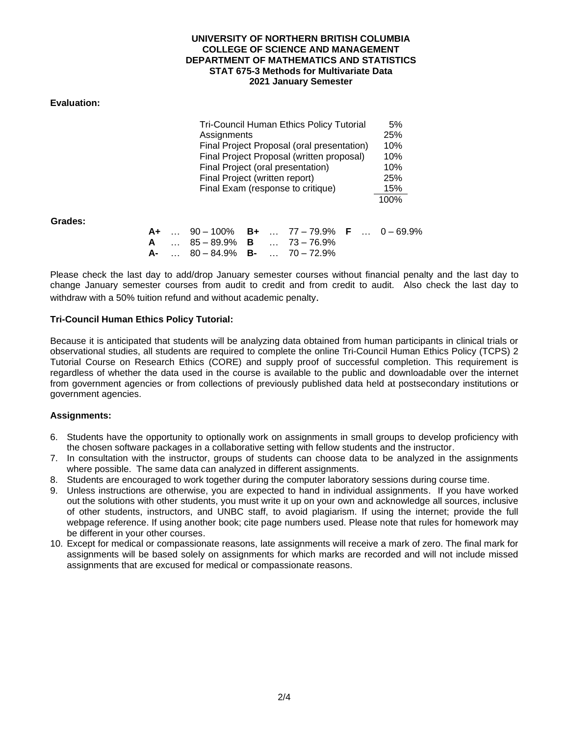# **Evaluation:**

| <b>Tri-Council Human Ethics Policy Tutorial</b> | 5%   |
|-------------------------------------------------|------|
| Assignments                                     | 25%  |
| Final Project Proposal (oral presentation)      | 10%  |
| Final Project Proposal (written proposal)       | 10%  |
| Final Project (oral presentation)               | 10%  |
| Final Project (written report)                  | 25%  |
| Final Exam (response to critique)               | 15%  |
|                                                 | 100% |

**Grades:** 

|  |                                               |  | <b>A+</b> 90 – 100% <b>B+</b> 77 – 79.9% <b>F</b> 0 – 69.9% |  |  |
|--|-----------------------------------------------|--|-------------------------------------------------------------|--|--|
|  | <b>A</b> $85 - 89.9\%$ <b>B</b> $73 - 76.9\%$ |  |                                                             |  |  |
|  | $A$ -  80 – 84.9% B-  70 – 72.9%              |  |                                                             |  |  |

Please check the last day to add/drop January semester courses without financial penalty and the last day to change January semester courses from audit to credit and from credit to audit. Also check the last day to withdraw with a 50% tuition refund and without academic penalty.

# **Tri-Council Human Ethics Policy Tutorial:**

Because it is anticipated that students will be analyzing data obtained from human participants in clinical trials or observational studies, all students are required to complete the online Tri-Council Human Ethics Policy (TCPS) 2 Tutorial Course on Research Ethics (CORE) and supply proof of successful completion. This requirement is regardless of whether the data used in the course is available to the public and downloadable over the internet from government agencies or from collections of previously published data held at postsecondary institutions or government agencies.

### **Assignments:**

- 6. Students have the opportunity to optionally work on assignments in small groups to develop proficiency with the chosen software packages in a collaborative setting with fellow students and the instructor.
- 7. In consultation with the instructor, groups of students can choose data to be analyzed in the assignments where possible. The same data can analyzed in different assignments.
- 8. Students are encouraged to work together during the computer laboratory sessions during course time.
- 9. Unless instructions are otherwise, you are expected to hand in individual assignments. If you have worked out the solutions with other students, you must write it up on your own and acknowledge all sources, inclusive of other students, instructors, and UNBC staff, to avoid plagiarism. If using the internet; provide the full webpage reference. If using another book; cite page numbers used. Please note that rules for homework may be different in your other courses.
- 10. Except for medical or compassionate reasons, late assignments will receive a mark of zero. The final mark for assignments will be based solely on assignments for which marks are recorded and will not include missed assignments that are excused for medical or compassionate reasons.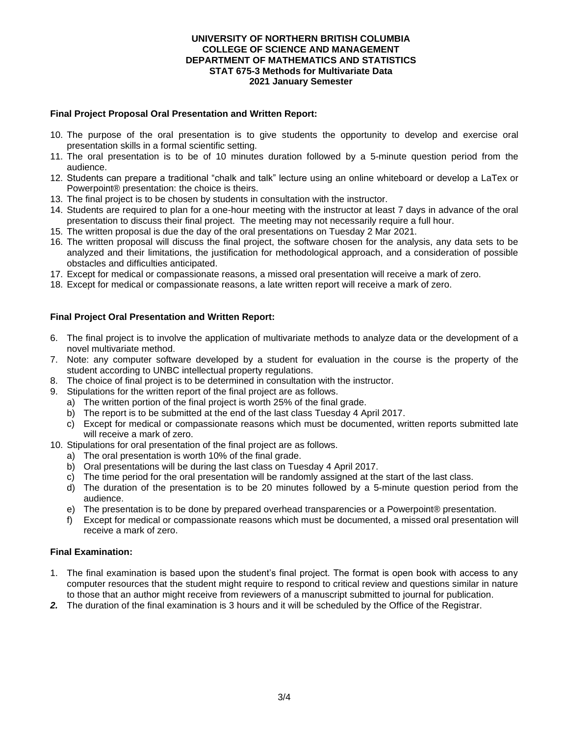# **Final Project Proposal Oral Presentation and Written Report:**

- 10. The purpose of the oral presentation is to give students the opportunity to develop and exercise oral presentation skills in a formal scientific setting.
- 11. The oral presentation is to be of 10 minutes duration followed by a 5-minute question period from the audience.
- 12. Students can prepare a traditional "chalk and talk" lecture using an online whiteboard or develop a LaTex or Powerpoint® presentation: the choice is theirs.
- 13. The final project is to be chosen by students in consultation with the instructor.
- 14. Students are required to plan for a one-hour meeting with the instructor at least 7 days in advance of the oral presentation to discuss their final project. The meeting may not necessarily require a full hour.
- 15. The written proposal is due the day of the oral presentations on Tuesday 2 Mar 2021.
- 16. The written proposal will discuss the final project, the software chosen for the analysis, any data sets to be analyzed and their limitations, the justification for methodological approach, and a consideration of possible obstacles and difficulties anticipated.
- 17. Except for medical or compassionate reasons, a missed oral presentation will receive a mark of zero.
- 18. Except for medical or compassionate reasons, a late written report will receive a mark of zero.

# **Final Project Oral Presentation and Written Report:**

- 6. The final project is to involve the application of multivariate methods to analyze data or the development of a novel multivariate method.
- 7. Note: any computer software developed by a student for evaluation in the course is the property of the student according to UNBC intellectual property regulations.
- 8. The choice of final project is to be determined in consultation with the instructor.
- 9. Stipulations for the written report of the final project are as follows.
	- a) The written portion of the final project is worth 25% of the final grade.
	- b) The report is to be submitted at the end of the last class Tuesday 4 April 2017.
	- c) Except for medical or compassionate reasons which must be documented, written reports submitted late will receive a mark of zero.
- 10. Stipulations for oral presentation of the final project are as follows.
	- a) The oral presentation is worth 10% of the final grade.
	- b) Oral presentations will be during the last class on Tuesday 4 April 2017.
	- c) The time period for the oral presentation will be randomly assigned at the start of the last class.
	- d) The duration of the presentation is to be 20 minutes followed by a 5-minute question period from the audience.
	- e) The presentation is to be done by prepared overhead transparencies or a Powerpoint® presentation.
	- f) Except for medical or compassionate reasons which must be documented, a missed oral presentation will receive a mark of zero.

# **Final Examination:**

- 1. The final examination is based upon the student's final project. The format is open book with access to any computer resources that the student might require to respond to critical review and questions similar in nature to those that an author might receive from reviewers of a manuscript submitted to journal for publication.
- *2.* The duration of the final examination is 3 hours and it will be scheduled by the Office of the Registrar.